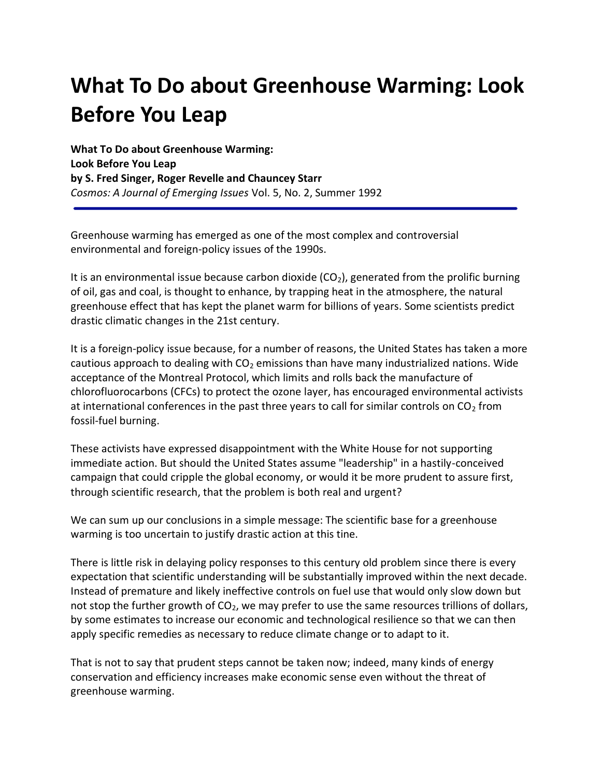# **What To Do about Greenhouse Warming: Look Before You Leap**

**What To Do about Greenhouse Warming: Look Before You Leap by S. Fred Singer, Roger Revelle and Chauncey Starr** *Cosmos: A Journal of Emerging Issues* Vol. 5, No. 2, Summer 1992

Greenhouse warming has emerged as one of the most complex and controversial environmental and foreign-policy issues of the 1990s.

It is an environmental issue because carbon dioxide  $(CO<sub>2</sub>)$ , generated from the prolific burning of oil, gas and coal, is thought to enhance, by trapping heat in the atmosphere, the natural greenhouse effect that has kept the planet warm for billions of years. Some scientists predict drastic climatic changes in the 21st century.

It is a foreign-policy issue because, for a number of reasons, the United States has taken a more cautious approach to dealing with  $CO<sub>2</sub>$  emissions than have many industrialized nations. Wide acceptance of the Montreal Protocol, which limits and rolls back the manufacture of chlorofluorocarbons (CFCs) to protect the ozone layer, has encouraged environmental activists at international conferences in the past three years to call for similar controls on  $CO<sub>2</sub>$  from fossil-fuel burning.

These activists have expressed disappointment with the White House for not supporting immediate action. But should the United States assume "leadership" in a hastily-conceived campaign that could cripple the global economy, or would it be more prudent to assure first, through scientific research, that the problem is both real and urgent?

We can sum up our conclusions in a simple message: The scientific base for a greenhouse warming is too uncertain to justify drastic action at this tine.

There is little risk in delaying policy responses to this century old problem since there is every expectation that scientific understanding will be substantially improved within the next decade. Instead of premature and likely ineffective controls on fuel use that would only slow down but not stop the further growth of  $CO<sub>2</sub>$ , we may prefer to use the same resources trillions of dollars, by some estimates to increase our economic and technological resilience so that we can then apply specific remedies as necessary to reduce climate change or to adapt to it.

That is not to say that prudent steps cannot be taken now; indeed, many kinds of energy conservation and efficiency increases make economic sense even without the threat of greenhouse warming.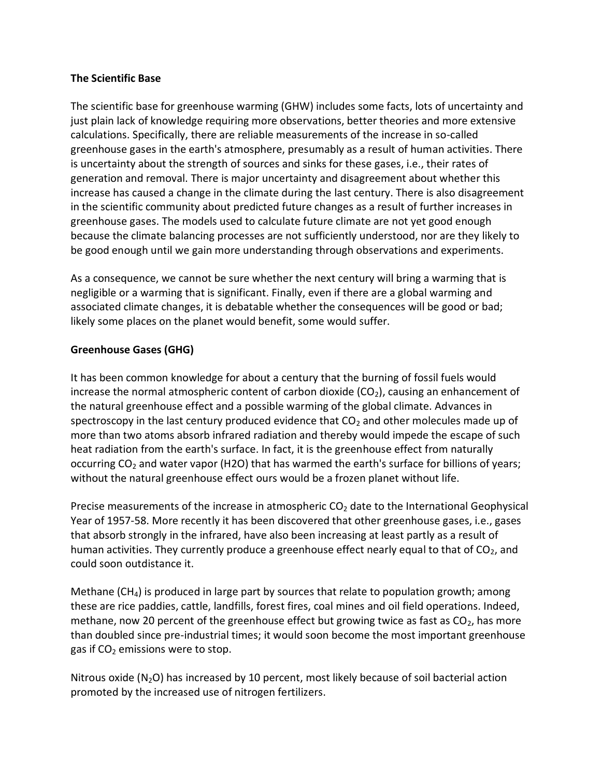### **The Scientific Base**

The scientific base for greenhouse warming (GHW) includes some facts, lots of uncertainty and just plain lack of knowledge requiring more observations, better theories and more extensive calculations. Specifically, there are reliable measurements of the increase in so-called greenhouse gases in the earth's atmosphere, presumably as a result of human activities. There is uncertainty about the strength of sources and sinks for these gases, i.e., their rates of generation and removal. There is major uncertainty and disagreement about whether this increase has caused a change in the climate during the last century. There is also disagreement in the scientific community about predicted future changes as a result of further increases in greenhouse gases. The models used to calculate future climate are not yet good enough because the climate balancing processes are not sufficiently understood, nor are they likely to be good enough until we gain more understanding through observations and experiments.

As a consequence, we cannot be sure whether the next century will bring a warming that is negligible or a warming that is significant. Finally, even if there are a global warming and associated climate changes, it is debatable whether the consequences will be good or bad; likely some places on the planet would benefit, some would suffer.

### **Greenhouse Gases (GHG)**

It has been common knowledge for about a century that the burning of fossil fuels would increase the normal atmospheric content of carbon dioxide  $(CO<sub>2</sub>)$ , causing an enhancement of the natural greenhouse effect and a possible warming of the global climate. Advances in spectroscopy in the last century produced evidence that  $CO<sub>2</sub>$  and other molecules made up of more than two atoms absorb infrared radiation and thereby would impede the escape of such heat radiation from the earth's surface. In fact, it is the greenhouse effect from naturally occurring CO<sub>2</sub> and water vapor (H2O) that has warmed the earth's surface for billions of years; without the natural greenhouse effect ours would be a frozen planet without life.

Precise measurements of the increase in atmospheric CO<sub>2</sub> date to the International Geophysical Year of 1957-58. More recently it has been discovered that other greenhouse gases, i.e., gases that absorb strongly in the infrared, have also been increasing at least partly as a result of human activities. They currently produce a greenhouse effect nearly equal to that of  $CO<sub>2</sub>$ , and could soon outdistance it.

Methane  $(CH_4)$  is produced in large part by sources that relate to population growth; among these are rice paddies, cattle, landfills, forest fires, coal mines and oil field operations. Indeed, methane, now 20 percent of the greenhouse effect but growing twice as fast as  $CO<sub>2</sub>$ , has more than doubled since pre-industrial times; it would soon become the most important greenhouse gas if  $CO<sub>2</sub>$  emissions were to stop.

Nitrous oxide ( $N_2$ O) has increased by 10 percent, most likely because of soil bacterial action promoted by the increased use of nitrogen fertilizers.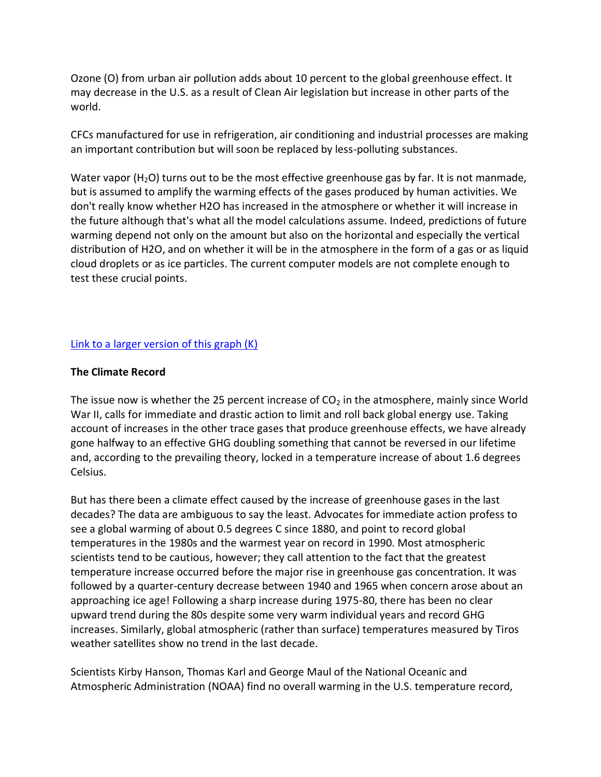Ozone (O) from urban air pollution adds about 10 percent to the global greenhouse effect. It may decrease in the U.S. as a result of Clean Air legislation but increase in other parts of the world.

CFCs manufactured for use in refrigeration, air conditioning and industrial processes are making an important contribution but will soon be replaced by less-polluting substances.

Water vapor ( $H_2O$ ) turns out to be the most effective greenhouse gas by far. It is not manmade, but is assumed to amplify the warming effects of the gases produced by human activities. We don't really know whether H2O has increased in the atmosphere or whether it will increase in the future although that's what all the model calculations assume. Indeed, predictions of future warming depend not only on the amount but also on the horizontal and especially the vertical distribution of H2O, and on whether it will be in the atmosphere in the form of a gas or as liquid cloud droplets or as ice particles. The current computer models are not complete enough to test these crucial points.

# [Link to a larger version of this graph \(K\)](http://www.sepp.org/key%20issues/glwarm/images/jpeg/cosmoslg.jpg)

### **The Climate Record**

The issue now is whether the 25 percent increase of  $CO<sub>2</sub>$  in the atmosphere, mainly since World War II, calls for immediate and drastic action to limit and roll back global energy use. Taking account of increases in the other trace gases that produce greenhouse effects, we have already gone halfway to an effective GHG doubling something that cannot be reversed in our lifetime and, according to the prevailing theory, locked in a temperature increase of about 1.6 degrees Celsius.

But has there been a climate effect caused by the increase of greenhouse gases in the last decades? The data are ambiguous to say the least. Advocates for immediate action profess to see a global warming of about 0.5 degrees C since 1880, and point to record global temperatures in the 1980s and the warmest year on record in 1990. Most atmospheric scientists tend to be cautious, however; they call attention to the fact that the greatest temperature increase occurred before the major rise in greenhouse gas concentration. It was followed by a quarter-century decrease between 1940 and 1965 when concern arose about an approaching ice age! Following a sharp increase during 1975-80, there has been no clear upward trend during the 80s despite some very warm individual years and record GHG increases. Similarly, global atmospheric (rather than surface) temperatures measured by Tiros weather satellites show no trend in the last decade.

Scientists Kirby Hanson, Thomas Karl and George Maul of the National Oceanic and Atmospheric Administration (NOAA) find no overall warming in the U.S. temperature record,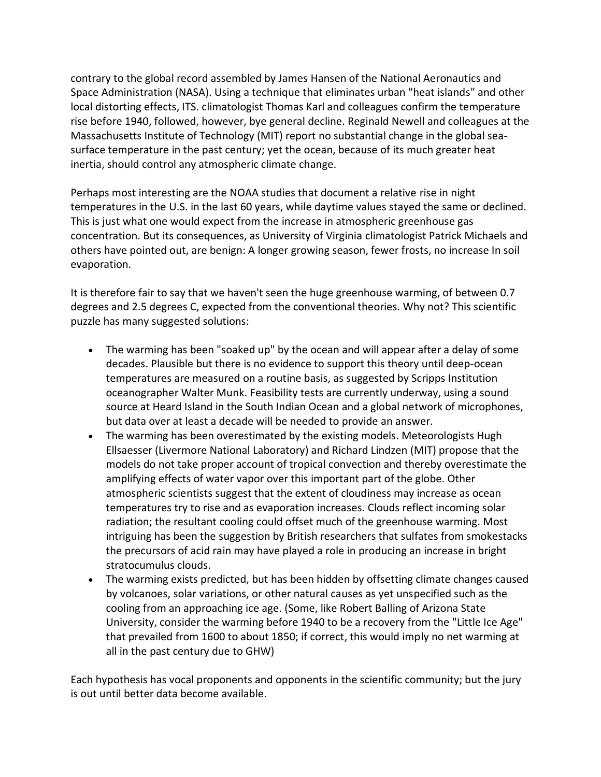contrary to the global record assembled by James Hansen of the National Aeronautics and Space Administration (NASA). Using a technique that eliminates urban "heat islands" and other local distorting effects, ITS. climatologist Thomas Karl and colleagues confirm the temperature rise before 1940, followed, however, bye general decline. Reginald Newell and colleagues at the Massachusetts Institute of Technology (MIT) report no substantial change in the global seasurface temperature in the past century; yet the ocean, because of its much greater heat inertia, should control any atmospheric climate change.

Perhaps most interesting are the NOAA studies that document a relative rise in night temperatures in the U.S. in the last 60 years, while daytime values stayed the same or declined. This is just what one would expect from the increase in atmospheric greenhouse gas concentration. But its consequences, as University of Virginia climatologist Patrick Michaels and others have pointed out, are benign: A longer growing season, fewer frosts, no increase In soil evaporation.

It is therefore fair to say that we haven't seen the huge greenhouse warming, of between 0.7 degrees and 2.5 degrees C, expected from the conventional theories. Why not? This scientific puzzle has many suggested solutions:

- The warming has been "soaked up" by the ocean and will appear after a delay of some decades. Plausible but there is no evidence to support this theory until deep-ocean temperatures are measured on a routine basis, as suggested by Scripps Institution oceanographer Walter Munk. Feasibility tests are currently underway, using a sound source at Heard Island in the South Indian Ocean and a global network of microphones, but data over at least a decade will be needed to provide an answer.
- The warming has been overestimated by the existing models. Meteorologists Hugh Ellsaesser (Livermore National Laboratory) and Richard Lindzen (MIT) propose that the models do not take proper account of tropical convection and thereby overestimate the amplifying effects of water vapor over this important part of the globe. Other atmospheric scientists suggest that the extent of cloudiness may increase as ocean temperatures try to rise and as evaporation increases. Clouds reflect incoming solar radiation; the resultant cooling could offset much of the greenhouse warming. Most intriguing has been the suggestion by British researchers that sulfates from smokestacks the precursors of acid rain may have played a role in producing an increase in bright stratocumulus clouds.
- The warming exists predicted, but has been hidden by offsetting climate changes caused by volcanoes, solar variations, or other natural causes as yet unspecified such as the cooling from an approaching ice age. (Some, like Robert Balling of Arizona State University, consider the warming before 1940 to be a recovery from the "Little Ice Age" that prevailed from 1600 to about 1850; if correct, this would imply no net warming at all in the past century due to GHW)

Each hypothesis has vocal proponents and opponents in the scientific community; but the jury is out until better data become available.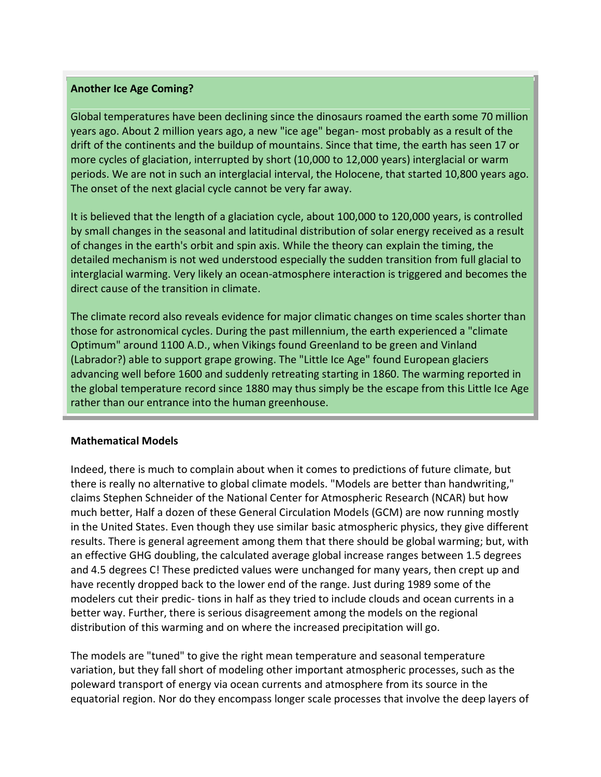#### **Another Ice Age Coming?**

Global temperatures have been declining since the dinosaurs roamed the earth some 70 million years ago. About 2 million years ago, a new "ice age" began- most probably as a result of the drift of the continents and the buildup of mountains. Since that time, the earth has seen 17 or more cycles of glaciation, interrupted by short (10,000 to 12,000 years) interglacial or warm periods. We are not in such an interglacial interval, the Holocene, that started 10,800 years ago. The onset of the next glacial cycle cannot be very far away.

It is believed that the length of a glaciation cycle, about 100,000 to 120,000 years, is controlled by small changes in the seasonal and latitudinal distribution of solar energy received as a result of changes in the earth's orbit and spin axis. While the theory can explain the timing, the detailed mechanism is not wed understood especially the sudden transition from full glacial to interglacial warming. Very likely an ocean-atmosphere interaction is triggered and becomes the direct cause of the transition in climate.

The climate record also reveals evidence for major climatic changes on time scales shorter than those for astronomical cycles. During the past millennium, the earth experienced a "climate Optimum" around 1100 A.D., when Vikings found Greenland to be green and Vinland (Labrador?) able to support grape growing. The "Little Ice Age" found European glaciers advancing well before 1600 and suddenly retreating starting in 1860. The warming reported in the global temperature record since 1880 may thus simply be the escape from this Little Ice Age rather than our entrance into the human greenhouse.

### **Mathematical Models**

Indeed, there is much to complain about when it comes to predictions of future climate, but there is really no alternative to global climate models. "Models are better than handwriting," claims Stephen Schneider of the National Center for Atmospheric Research (NCAR) but how much better, Half a dozen of these General Circulation Models (GCM) are now running mostly in the United States. Even though they use similar basic atmospheric physics, they give different results. There is general agreement among them that there should be global warming; but, with an effective GHG doubling, the calculated average global increase ranges between 1.5 degrees and 4.5 degrees C! These predicted values were unchanged for many years, then crept up and have recently dropped back to the lower end of the range. Just during 1989 some of the modelers cut their predic- tions in half as they tried to include clouds and ocean currents in a better way. Further, there is serious disagreement among the models on the regional distribution of this warming and on where the increased precipitation will go.

The models are "tuned" to give the right mean temperature and seasonal temperature variation, but they fall short of modeling other important atmospheric processes, such as the poleward transport of energy via ocean currents and atmosphere from its source in the equatorial region. Nor do they encompass longer scale processes that involve the deep layers of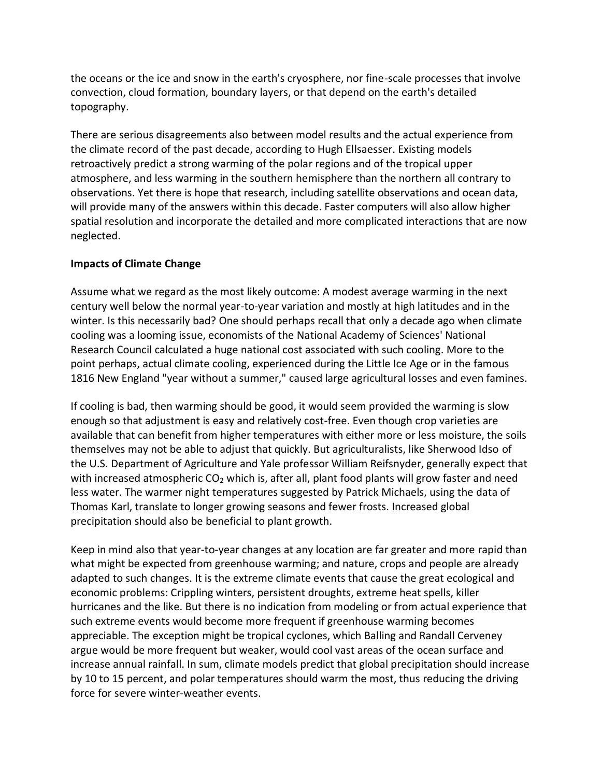the oceans or the ice and snow in the earth's cryosphere, nor fine-scale processes that involve convection, cloud formation, boundary layers, or that depend on the earth's detailed topography.

There are serious disagreements also between model results and the actual experience from the climate record of the past decade, according to Hugh Ellsaesser. Existing models retroactively predict a strong warming of the polar regions and of the tropical upper atmosphere, and less warming in the southern hemisphere than the northern all contrary to observations. Yet there is hope that research, including satellite observations and ocean data, will provide many of the answers within this decade. Faster computers will also allow higher spatial resolution and incorporate the detailed and more complicated interactions that are now neglected.

### **Impacts of Climate Change**

Assume what we regard as the most likely outcome: A modest average warming in the next century well below the normal year-to-year variation and mostly at high latitudes and in the winter. Is this necessarily bad? One should perhaps recall that only a decade ago when climate cooling was a looming issue, economists of the National Academy of Sciences' National Research Council calculated a huge national cost associated with such cooling. More to the point perhaps, actual climate cooling, experienced during the Little Ice Age or in the famous 1816 New England "year without a summer," caused large agricultural losses and even famines.

If cooling is bad, then warming should be good, it would seem provided the warming is slow enough so that adjustment is easy and relatively cost-free. Even though crop varieties are available that can benefit from higher temperatures with either more or less moisture, the soils themselves may not be able to adjust that quickly. But agriculturalists, like Sherwood Idso of the U.S. Department of Agriculture and Yale professor William Reifsnyder, generally expect that with increased atmospheric  $CO<sub>2</sub>$  which is, after all, plant food plants will grow faster and need less water. The warmer night temperatures suggested by Patrick Michaels, using the data of Thomas Karl, translate to longer growing seasons and fewer frosts. Increased global precipitation should also be beneficial to plant growth.

Keep in mind also that year-to-year changes at any location are far greater and more rapid than what might be expected from greenhouse warming; and nature, crops and people are already adapted to such changes. It is the extreme climate events that cause the great ecological and economic problems: Crippling winters, persistent droughts, extreme heat spells, killer hurricanes and the like. But there is no indication from modeling or from actual experience that such extreme events would become more frequent if greenhouse warming becomes appreciable. The exception might be tropical cyclones, which Balling and Randall Cerveney argue would be more frequent but weaker, would cool vast areas of the ocean surface and increase annual rainfall. In sum, climate models predict that global precipitation should increase by 10 to 15 percent, and polar temperatures should warm the most, thus reducing the driving force for severe winter-weather events.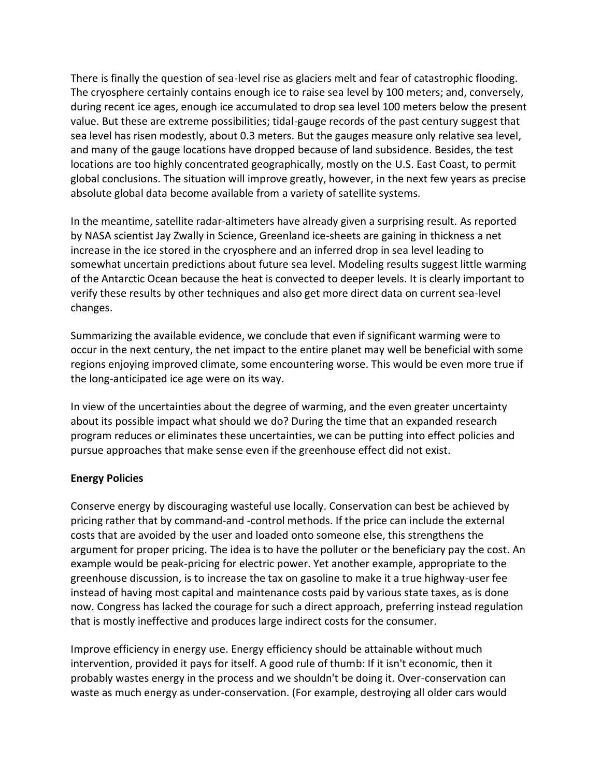There is finally the question of sea-level rise as glaciers melt and fear of catastrophic flooding. The cryosphere certainly contains enough ice to raise sea level by 100 meters; and, conversely, during recent ice ages, enough ice accumulated to drop sea level 100 meters below the present value. But these are extreme possibilities; tidal-gauge records of the past century suggest that sea level has risen modestly, about 0.3 meters. But the gauges measure only relative sea level, and many of the gauge locations have dropped because of land subsidence. Besides, the test locations are too highly concentrated geographically, mostly on the U.S. East Coast, to permit global conclusions. The situation will improve greatly, however, in the next few years as precise absolute global data become available from a variety of satellite systems.

In the meantime, satellite radar-altimeters have already given a surprising result. As reported by NASA scientist Jay Zwally in Science, Greenland ice-sheets are gaining in thickness a net increase in the ice stored in the cryosphere and an inferred drop in sea level leading to somewhat uncertain predictions about future sea level. Modeling results suggest little warming of the Antarctic Ocean because the heat is convected to deeper levels. It is clearly important to verify these results by other techniques and also get more direct data on current sea-level changes.

Summarizing the available evidence, we conclude that even if significant warming were to occur in the next century, the net impact to the entire planet may well be beneficial with some regions enjoying improved climate, some encountering worse. This would be even more true if the long-anticipated ice age were on its way.

In view of the uncertainties about the degree of warming, and the even greater uncertainty about its possible impact what should we do? During the time that an expanded research program reduces or eliminates these uncertainties, we can be putting into effect policies and pursue approaches that make sense even if the greenhouse effect did not exist.

#### **Energy Policies**

Conserve energy by discouraging wasteful use locally. Conservation can best be achieved by pricing rather that by command-and -control methods. If the price can include the external costs that are avoided by the user and loaded onto someone else, this strengthens the argument for proper pricing. The idea is to have the polluter or the beneficiary pay the cost. An example would be peak-pricing for electric power. Yet another example, appropriate to the greenhouse discussion, is to increase the tax on gasoline to make it a true highway-user fee instead of having most capital and maintenance costs paid by various state taxes, as is done now. Congress has lacked the courage for such a direct approach, preferring instead regulation that is mostly ineffective and produces large indirect costs for the consumer.

Improve efficiency in energy use. Energy efficiency should be attainable without much intervention, provided it pays for itself. A good rule of thumb: If it isn't economic, then it probably wastes energy in the process and we shouldn't be doing it. Over-conservation can waste as much energy as under-conservation. (For example, destroying all older cars would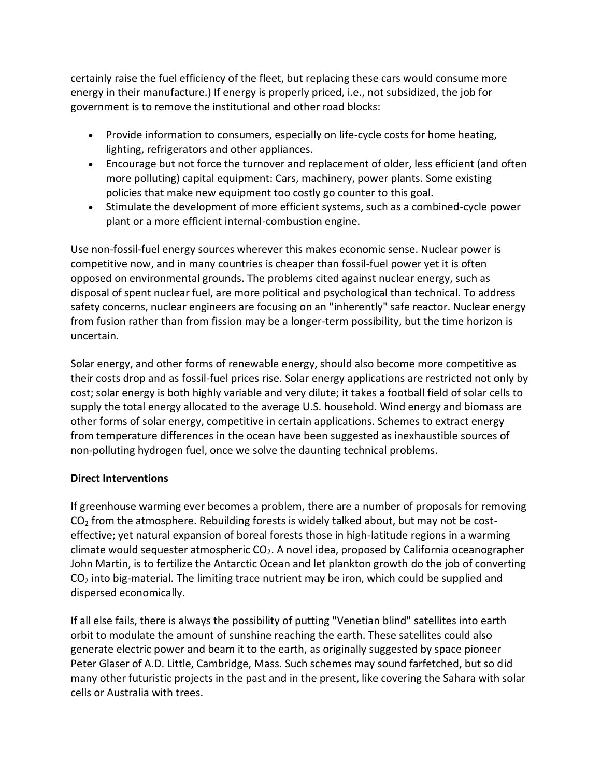certainly raise the fuel efficiency of the fleet, but replacing these cars would consume more energy in their manufacture.) If energy is properly priced, i.e., not subsidized, the job for government is to remove the institutional and other road blocks:

- Provide information to consumers, especially on life-cycle costs for home heating, lighting, refrigerators and other appliances.
- Encourage but not force the turnover and replacement of older, less efficient (and often more polluting) capital equipment: Cars, machinery, power plants. Some existing policies that make new equipment too costly go counter to this goal.
- Stimulate the development of more efficient systems, such as a combined-cycle power plant or a more efficient internal-combustion engine.

Use non-fossil-fuel energy sources wherever this makes economic sense. Nuclear power is competitive now, and in many countries is cheaper than fossil-fuel power yet it is often opposed on environmental grounds. The problems cited against nuclear energy, such as disposal of spent nuclear fuel, are more political and psychological than technical. To address safety concerns, nuclear engineers are focusing on an "inherently" safe reactor. Nuclear energy from fusion rather than from fission may be a longer-term possibility, but the time horizon is uncertain.

Solar energy, and other forms of renewable energy, should also become more competitive as their costs drop and as fossil-fuel prices rise. Solar energy applications are restricted not only by cost; solar energy is both highly variable and very dilute; it takes a football field of solar cells to supply the total energy allocated to the average U.S. household. Wind energy and biomass are other forms of solar energy, competitive in certain applications. Schemes to extract energy from temperature differences in the ocean have been suggested as inexhaustible sources of non-polluting hydrogen fuel, once we solve the daunting technical problems.

## **Direct Interventions**

If greenhouse warming ever becomes a problem, there are a number of proposals for removing  $CO<sub>2</sub>$  from the atmosphere. Rebuilding forests is widely talked about, but may not be costeffective; yet natural expansion of boreal forests those in high-latitude regions in a warming climate would sequester atmospheric CO<sub>2</sub>. A novel idea, proposed by California oceanographer John Martin, is to fertilize the Antarctic Ocean and let plankton growth do the job of converting  $CO<sub>2</sub>$  into big-material. The limiting trace nutrient may be iron, which could be supplied and dispersed economically.

If all else fails, there is always the possibility of putting "Venetian blind" satellites into earth orbit to modulate the amount of sunshine reaching the earth. These satellites could also generate electric power and beam it to the earth, as originally suggested by space pioneer Peter Glaser of A.D. Little, Cambridge, Mass. Such schemes may sound farfetched, but so did many other futuristic projects in the past and in the present, like covering the Sahara with solar cells or Australia with trees.